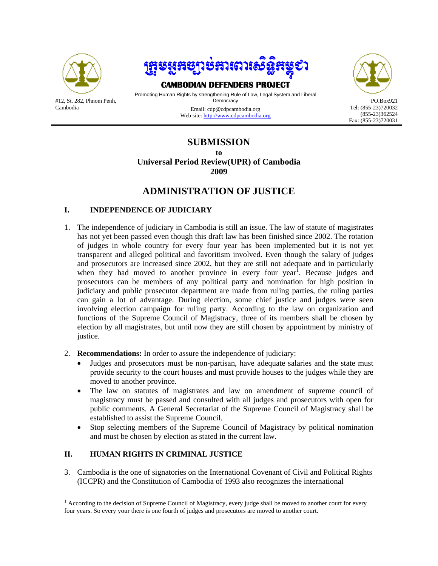

Cambodia



# **CAMBODIAN DEFENDERS PROJECT**<br>Promoting Human Rights by strengthening Rule of Law, Legal System and Liberal

**Democracy** Email: cdp@cdpcambodia.org

Web site: http://www.cdpcambodia.org



## **SUBMISSION**

**to** 

**Universal Period Review(UPR) of Cambodia 2009** 

### **ADMINISTRATION OF JUSTICE**

#### **I. INDEPENDENCE OF JUDICIARY**

- 1. The independence of judiciary in Cambodia is still an issue. The law of statute of magistrates has not yet been passed even though this draft law has been finished since 2002. The rotation of judges in whole country for every four year has been implemented but it is not yet transparent and alleged political and favoritism involved. Even though the salary of judges and prosecutors are increased since 2002, but they are still not adequate and in particularly when they had moved to another province in every four year<sup>1</sup>. Because judges and prosecutors can be members of any political party and nomination for high position in judiciary and public prosecutor department are made from ruling parties, the ruling parties can gain a lot of advantage. During election, some chief justice and judges were seen involving election campaign for ruling party. According to the law on organization and functions of the Supreme Council of Magistracy, three of its members shall be chosen by election by all magistrates, but until now they are still chosen by appointment by ministry of justice.
- 2. **Recommendations:** In order to assure the independence of judiciary:
	- Judges and prosecutors must be non-partisan, have adequate salaries and the state must provide security to the court houses and must provide houses to the judges while they are moved to another province.
	- The law on statutes of magistrates and law on amendment of supreme council of magistracy must be passed and consulted with all judges and prosecutors with open for public comments. A General Secretariat of the Supreme Council of Magistracy shall be established to assist the Supreme Council.
	- Stop selecting members of the Supreme Council of Magistracy by political nomination and must be chosen by election as stated in the current law.

#### **II. HUMAN RIGHTS IN CRIMINAL JUSTICE**

3. Cambodia is the one of signatories on the International Covenant of Civil and Political Rights (ICCPR) and the Constitution of Cambodia of 1993 also recognizes the international

The Laccording to the decision of Supreme Council of Magistracy, every judge shall be moved to another court for every four years. So every your there is one fourth of judges and prosecutors are moved to another court.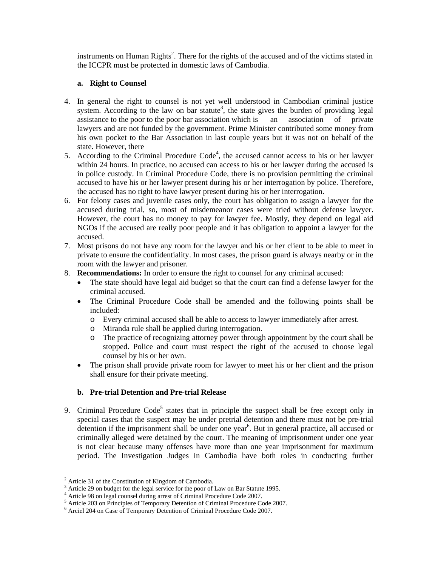instruments on Human Rights<sup>2</sup>. There for the rights of the accused and of the victims stated in the ICCPR must be protected in domestic laws of Cambodia.

#### **a. Right to Counsel**

- 4. In general the right to counsel is not yet well understood in Cambodian criminal justice system. According to the law on bar statute<sup>3</sup>, the state gives the burden of providing legal assistance to the poor to the poor bar association which is an association of private lawyers and are not funded by the government. Prime Minister contributed some money from his own pocket to the Bar Association in last couple years but it was not on behalf of the state. However, there
- 5. According to the Criminal Procedure Code<sup>4</sup>, the accused cannot access to his or her lawyer within 24 hours. In practice, no accused can access to his or her lawyer during the accused is in police custody. In Criminal Procedure Code, there is no provision permitting the criminal accused to have his or her lawyer present during his or her interrogation by police. Therefore, the accused has no right to have lawyer present during his or her interrogation.
- 6. For felony cases and juvenile cases only, the court has obligation to assign a lawyer for the accused during trial, so, most of misdemeanor cases were tried without defense lawyer. However, the court has no money to pay for lawyer fee. Mostly, they depend on legal aid NGOs if the accused are really poor people and it has obligation to appoint a lawyer for the accused.
- 7. Most prisons do not have any room for the lawyer and his or her client to be able to meet in private to ensure the confidentiality. In most cases, the prison guard is always nearby or in the room with the lawyer and prisoner.
- 8. **Recommendations:** In order to ensure the right to counsel for any criminal accused:
	- The state should have legal aid budget so that the court can find a defense lawyer for the criminal accused.
	- The Criminal Procedure Code shall be amended and the following points shall be included:
		- o Every criminal accused shall be able to access to lawyer immediately after arrest.
		- o Miranda rule shall be applied during interrogation.
		- o The practice of recognizing attorney power through appointment by the court shall be stopped. Police and court must respect the right of the accused to choose legal counsel by his or her own.
	- The prison shall provide private room for lawyer to meet his or her client and the prison shall ensure for their private meeting.

#### **b. Pre-trial Detention and Pre-trial Release**

9. Criminal Procedure Code<sup>5</sup> states that in principle the suspect shall be free except only in special cases that the suspect may be under pretrial detention and there must not be pre-trial detention if the imprisonment shall be under one year<sup>6</sup>. But in general practice, all accused or criminally alleged were detained by the court. The meaning of imprisonment under one year is not clear because many offenses have more than one year imprisonment for maximum period. The Investigation Judges in Cambodia have both roles in conducting further

 $\overline{\phantom{a}}$ 

<sup>2</sup> Article 31 of the Constitution of Kingdom of Cambodia.

Article 29 on budget for the legal service for the poor of Law on Bar Statute 1995. 4

Article 98 on legal counsel during arrest of Criminal Procedure Code 2007.

<sup>&</sup>lt;sup>5</sup> Article 203 on Principles of Temporary Detention of Criminal Procedure Code 2007.

Arciel 204 on Case of Temporary Detention of Criminal Procedure Code 2007.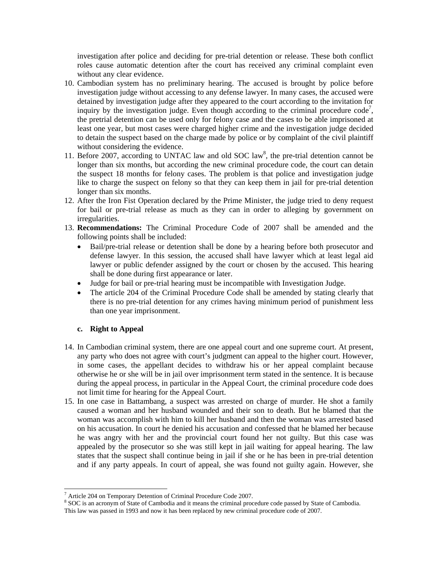investigation after police and deciding for pre-trial detention or release. These both conflict roles cause automatic detention after the court has received any criminal complaint even without any clear evidence.

- 10. Cambodian system has no preliminary hearing. The accused is brought by police before investigation judge without accessing to any defense lawyer. In many cases, the accused were detained by investigation judge after they appeared to the court according to the invitation for inquiry by the investigation judge. Even though according to the criminal procedure code<sup>7</sup>, the pretrial detention can be used only for felony case and the cases to be able imprisoned at least one year, but most cases were charged higher crime and the investigation judge decided to detain the suspect based on the charge made by police or by complaint of the civil plaintiff without considering the evidence.
- 11. Before 2007, according to UNTAC law and old SOC law<sup>8</sup>, the pre-trial detention cannot be longer than six months, but according the new criminal procedure code, the court can detain the suspect 18 months for felony cases. The problem is that police and investigation judge like to charge the suspect on felony so that they can keep them in jail for pre-trial detention longer than six months.
- 12. After the Iron Fist Operation declared by the Prime Minister, the judge tried to deny request for bail or pre-trial release as much as they can in order to alleging by government on irregularities.
- 13. **Recommendations:** The Criminal Procedure Code of 2007 shall be amended and the following points shall be included:
	- Bail/pre-trial release or detention shall be done by a hearing before both prosecutor and defense lawyer. In this session, the accused shall have lawyer which at least legal aid lawyer or public defender assigned by the court or chosen by the accused. This hearing shall be done during first appearance or later.
	- Judge for bail or pre-trial hearing must be incompatible with Investigation Judge.
	- The article 204 of the Criminal Procedure Code shall be amended by stating clearly that there is no pre-trial detention for any crimes having minimum period of punishment less than one year imprisonment.

#### **c. Right to Appeal**

 $\overline{\phantom{a}}$ 

- 14. In Cambodian criminal system, there are one appeal court and one supreme court. At present, any party who does not agree with court's judgment can appeal to the higher court. However, in some cases, the appellant decides to withdraw his or her appeal complaint because otherwise he or she will be in jail over imprisonment term stated in the sentence. It is because during the appeal process, in particular in the Appeal Court, the criminal procedure code does not limit time for hearing for the Appeal Court.
- 15. In one case in Battambang, a suspect was arrested on charge of murder. He shot a family caused a woman and her husband wounded and their son to death. But he blamed that the woman was accomplish with him to kill her husband and then the woman was arrested based on his accusation. In court he denied his accusation and confessed that he blamed her because he was angry with her and the provincial court found her not guilty. But this case was appealed by the prosecutor so she was still kept in jail waiting for appeal hearing. The law states that the suspect shall continue being in jail if she or he has been in pre-trial detention and if any party appeals. In court of appeal, she was found not guilty again. However, she

Article 204 on Temporary Detention of Criminal Procedure Code 2007.

<sup>&</sup>lt;sup>8</sup> SOC is an acronym of State of Cambodia and it means the criminal procedure code passed by State of Cambodia. This law was passed in 1993 and now it has been replaced by new criminal procedure code of 2007.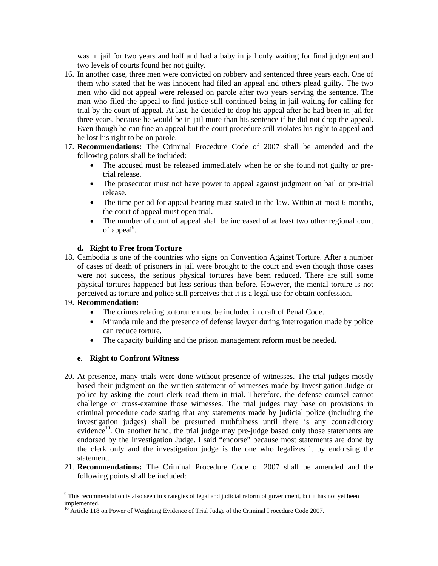was in jail for two years and half and had a baby in jail only waiting for final judgment and two levels of courts found her not guilty.

- 16. In another case, three men were convicted on robbery and sentenced three years each. One of them who stated that he was innocent had filed an appeal and others plead guilty. The two men who did not appeal were released on parole after two years serving the sentence. The man who filed the appeal to find justice still continued being in jail waiting for calling for trial by the court of appeal. At last, he decided to drop his appeal after he had been in jail for three years, because he would be in jail more than his sentence if he did not drop the appeal. Even though he can fine an appeal but the court procedure still violates his right to appeal and he lost his right to be on parole.
- 17. **Recommendations:** The Criminal Procedure Code of 2007 shall be amended and the following points shall be included:
	- The accused must be released immediately when he or she found not guilty or pretrial release.
	- The prosecutor must not have power to appeal against judgment on bail or pre-trial release.
	- The time period for appeal hearing must stated in the law. Within at most 6 months, the court of appeal must open trial.
	- The number of court of appeal shall be increased of at least two other regional court of appeal<sup>9</sup>.

#### **d. Right to Free from Torture**

18. Cambodia is one of the countries who signs on Convention Against Torture. After a number of cases of death of prisoners in jail were brought to the court and even though those cases were not success, the serious physical tortures have been reduced. There are still some physical tortures happened but less serious than before. However, the mental torture is not perceived as torture and police still perceives that it is a legal use for obtain confession.

#### 19. **Recommendation:**

 $\overline{\phantom{a}}$ 

- The crimes relating to torture must be included in draft of Penal Code.
- Miranda rule and the presence of defense lawyer during interrogation made by police can reduce torture.
- The capacity building and the prison management reform must be needed.

#### **e. Right to Confront Witness**

- 20. At presence, many trials were done without presence of witnesses. The trial judges mostly based their judgment on the written statement of witnesses made by Investigation Judge or police by asking the court clerk read them in trial. Therefore, the defense counsel cannot challenge or cross-examine those witnesses. The trial judges may base on provisions in criminal procedure code stating that any statements made by judicial police (including the investigation judges) shall be presumed truthfulness until there is any contradictory evidence<sup>10</sup>. On another hand, the trial judge may pre-judge based only those statements are endorsed by the Investigation Judge. I said "endorse" because most statements are done by the clerk only and the investigation judge is the one who legalizes it by endorsing the statement.
- 21. **Recommendations:** The Criminal Procedure Code of 2007 shall be amended and the following points shall be included:

 $9$  This recommendation is also seen in strategies of legal and judicial reform of government, but it has not yet been implemented.

<sup>&</sup>lt;sup>10</sup> Article 118 on Power of Weighting Evidence of Trial Judge of the Criminal Procedure Code 2007.